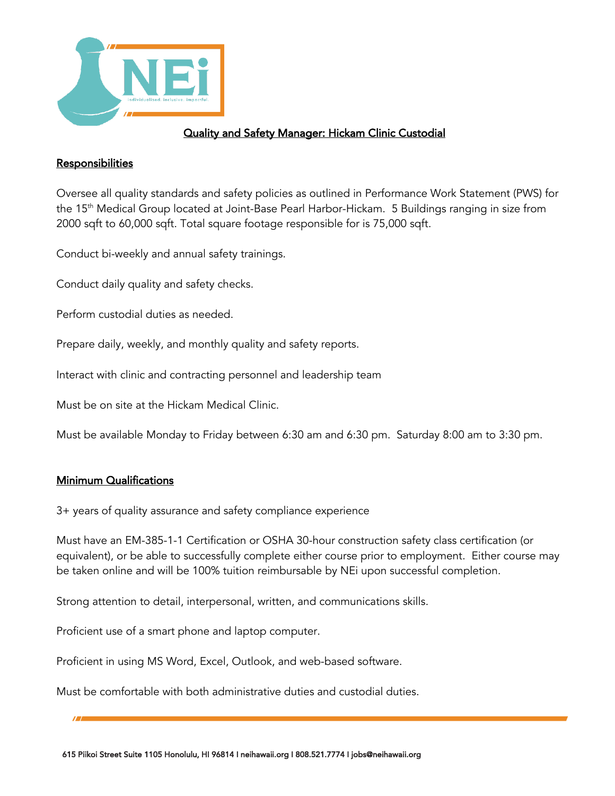

## Quality and Safety Manager: Hickam Clinic Custodial

## **Responsibilities**

Oversee all quality standards and safety policies as outlined in Performance Work Statement (PWS) for the 15<sup>th</sup> Medical Group located at Joint-Base Pearl Harbor-Hickam. 5 Buildings ranging in size from 2000 sqft to 60,000 sqft. Total square footage responsible for is 75,000 sqft.

Conduct bi-weekly and annual safety trainings.

Conduct daily quality and safety checks.

Perform custodial duties as needed.

Prepare daily, weekly, and monthly quality and safety reports.

Interact with clinic and contracting personnel and leadership team

Must be on site at the Hickam Medical Clinic.

Must be available Monday to Friday between 6:30 am and 6:30 pm. Saturday 8:00 am to 3:30 pm.

## Minimum Qualifications

3+ years of quality assurance and safety compliance experience

Must have an EM-385-1-1 Certification or OSHA 30-hour construction safety class certification (or equivalent), or be able to successfully complete either course prior to employment. Either course may be taken online and will be 100% tuition reimbursable by NEi upon successful completion.

Strong attention to detail, interpersonal, written, and communications skills.

Proficient use of a smart phone and laptop computer.

Proficient in using MS Word, Excel, Outlook, and web-based software.

Must be comfortable with both administrative duties and custodial duties.